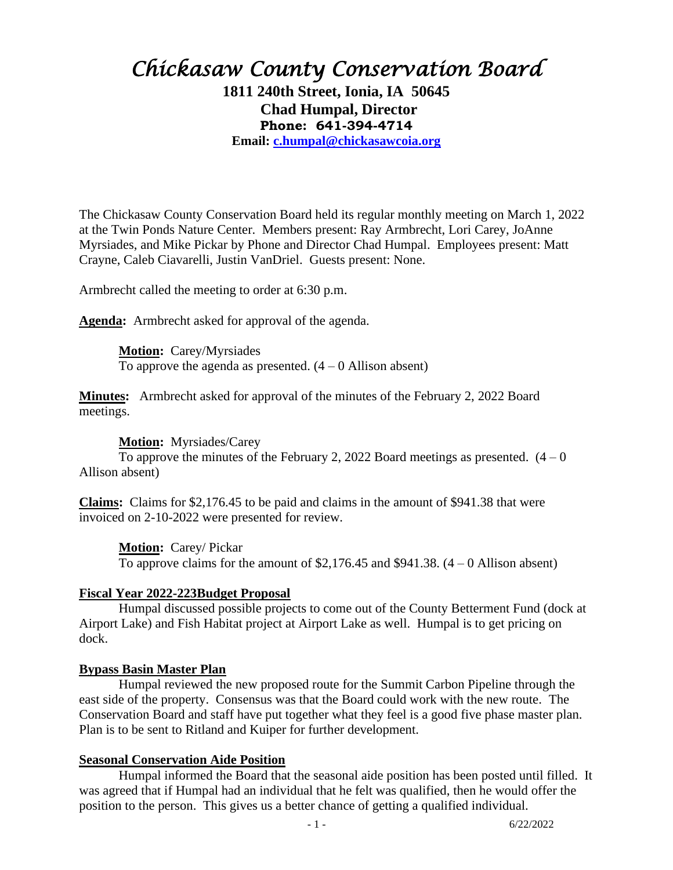# *Chickasaw County Conservation Board*

**1811 240th Street, Ionia, IA 50645 Chad Humpal, Director Phone: 641-394-4714**

**Email: [c.humpal@chickasawcoia.org](mailto:c.humpal@chickasawcoia.org)**

The Chickasaw County Conservation Board held its regular monthly meeting on March 1, 2022 at the Twin Ponds Nature Center. Members present: Ray Armbrecht, Lori Carey, JoAnne Myrsiades, and Mike Pickar by Phone and Director Chad Humpal. Employees present: Matt Crayne, Caleb Ciavarelli, Justin VanDriel. Guests present: None.

Armbrecht called the meeting to order at 6:30 p.m.

**Agenda:** Armbrecht asked for approval of the agenda.

**Motion:** Carey/Myrsiades To approve the agenda as presented.  $(4 - 0$  Allison absent)

**Minutes:** Armbrecht asked for approval of the minutes of the February 2, 2022 Board meetings.

#### **Motion:** Myrsiades/Carey

To approve the minutes of the February 2, 2022 Board meetings as presented.  $(4 - 0)$ Allison absent)

**Claims:** Claims for \$2,176.45 to be paid and claims in the amount of \$941.38 that were invoiced on 2-10-2022 were presented for review.

**Motion:** Carey/ Pickar

To approve claims for the amount of  $$2,176.45$  and  $$941.38$ .  $(4-0)$  Allison absent)

#### **Fiscal Year 2022-223Budget Proposal**

Humpal discussed possible projects to come out of the County Betterment Fund (dock at Airport Lake) and Fish Habitat project at Airport Lake as well. Humpal is to get pricing on dock.

#### **Bypass Basin Master Plan**

Humpal reviewed the new proposed route for the Summit Carbon Pipeline through the east side of the property. Consensus was that the Board could work with the new route. The Conservation Board and staff have put together what they feel is a good five phase master plan. Plan is to be sent to Ritland and Kuiper for further development.

#### **Seasonal Conservation Aide Position**

Humpal informed the Board that the seasonal aide position has been posted until filled. It was agreed that if Humpal had an individual that he felt was qualified, then he would offer the position to the person. This gives us a better chance of getting a qualified individual.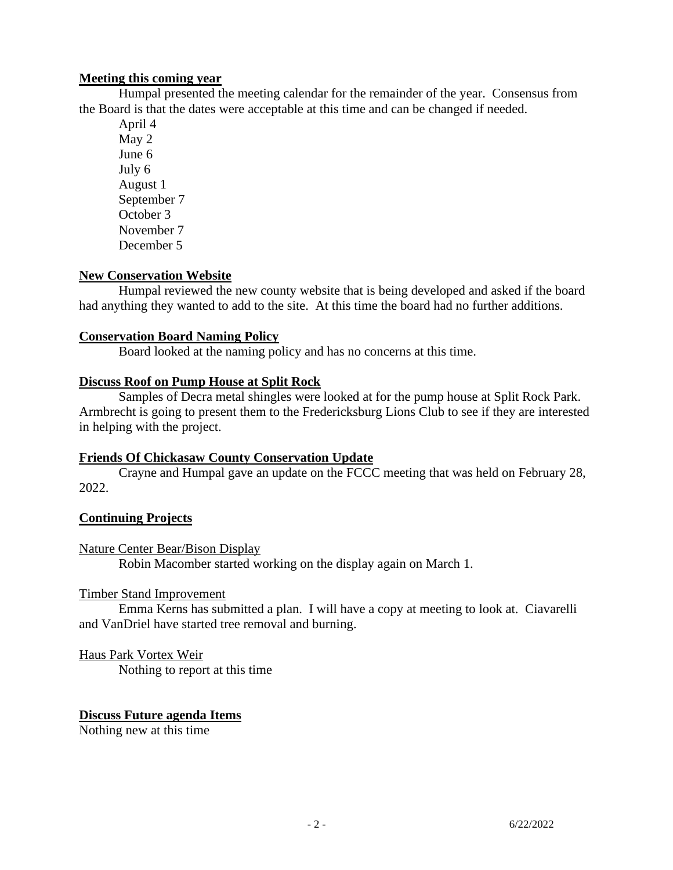# **Meeting this coming year**

Humpal presented the meeting calendar for the remainder of the year. Consensus from the Board is that the dates were acceptable at this time and can be changed if needed.

April 4 May 2 June 6 July 6 August 1 September 7 October 3 November 7 December 5

# **New Conservation Website**

Humpal reviewed the new county website that is being developed and asked if the board had anything they wanted to add to the site. At this time the board had no further additions.

# **Conservation Board Naming Policy**

Board looked at the naming policy and has no concerns at this time.

## **Discuss Roof on Pump House at Split Rock**

Samples of Decra metal shingles were looked at for the pump house at Split Rock Park. Armbrecht is going to present them to the Fredericksburg Lions Club to see if they are interested in helping with the project.

## **Friends Of Chickasaw County Conservation Update**

Crayne and Humpal gave an update on the FCCC meeting that was held on February 28, 2022.

## **Continuing Projects**

## Nature Center Bear/Bison Display

Robin Macomber started working on the display again on March 1.

## Timber Stand Improvement

Emma Kerns has submitted a plan. I will have a copy at meeting to look at. Ciavarelli and VanDriel have started tree removal and burning.

## Haus Park Vortex Weir

Nothing to report at this time

## **Discuss Future agenda Items**

Nothing new at this time